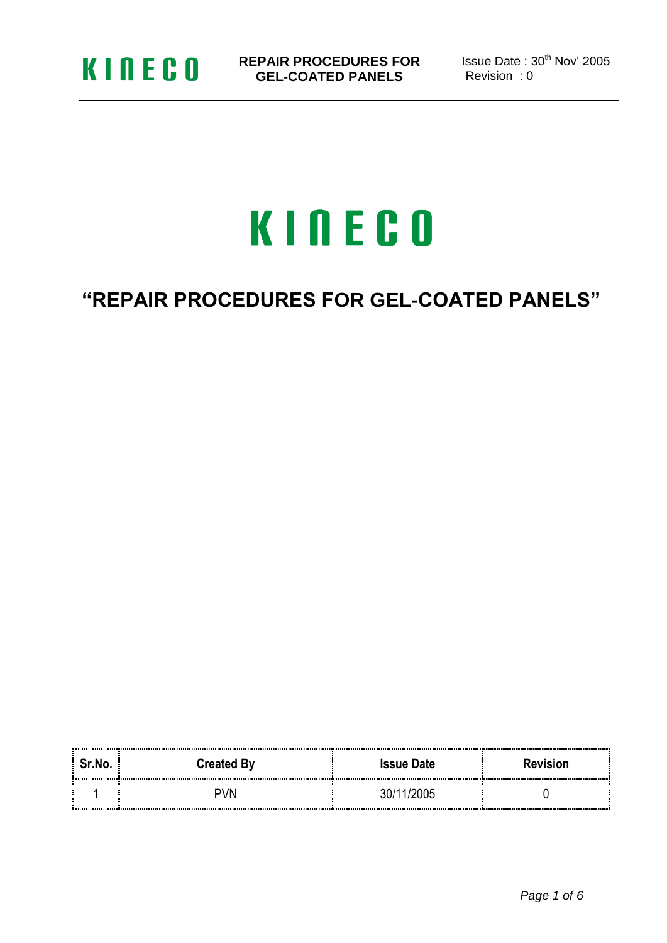

Issue Date: 30<sup>th</sup> Nov' 2005 Revision : 0

# KINECO

### **"REPAIR PROCEDURES FOR GEL-COATED PANELS"**

| Sr.No. | <b>Created By</b> | <b>Issue Date</b> | <b>Revision</b> |
|--------|-------------------|-------------------|-----------------|
|        | א∨ר               |                   |                 |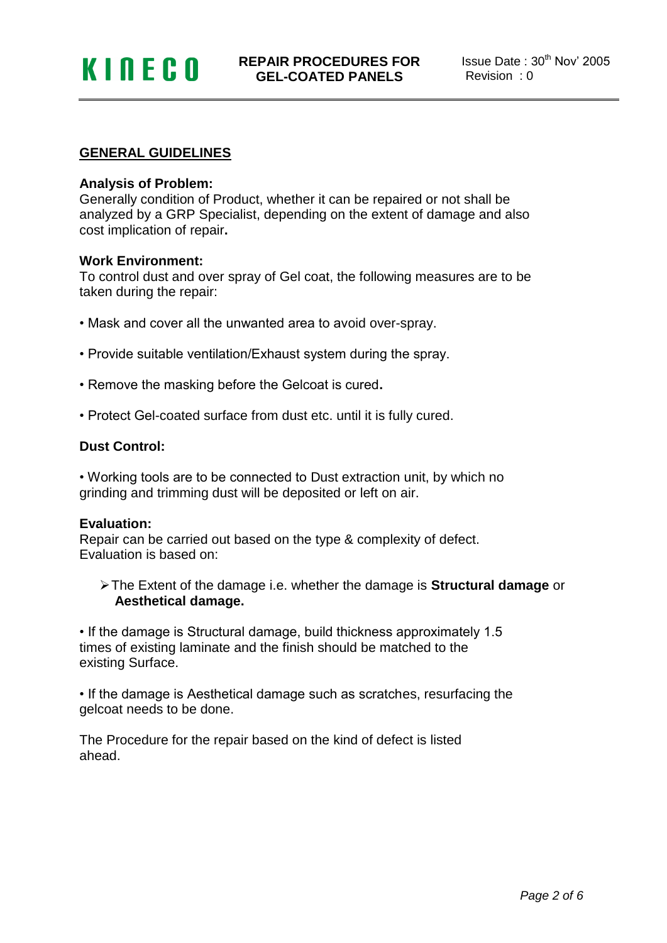#### **GENERAL GUIDELINES**

#### **Analysis of Problem:**

Generally condition of Product, whether it can be repaired or not shall be analyzed by a GRP Specialist, depending on the extent of damage and also cost implication of repair**.**

#### **Work Environment:**

To control dust and over spray of Gel coat, the following measures are to be taken during the repair:

- Mask and cover all the unwanted area to avoid over-spray.
- Provide suitable ventilation/Exhaust system during the spray.
- Remove the masking before the Gelcoat is cured**.**
- Protect Gel-coated surface from dust etc. until it is fully cured.

#### **Dust Control:**

• Working tools are to be connected to Dust extraction unit, by which no grinding and trimming dust will be deposited or left on air.

#### **Evaluation:**

Repair can be carried out based on the type & complexity of defect. Evaluation is based on:

The Extent of the damage i.e. whether the damage is **Structural damage** or  **Aesthetical damage.**

• If the damage is Structural damage, build thickness approximately 1.5 times of existing laminate and the finish should be matched to the existing Surface.

• If the damage is Aesthetical damage such as scratches, resurfacing the gelcoat needs to be done.

The Procedure for the repair based on the kind of defect is listed ahead.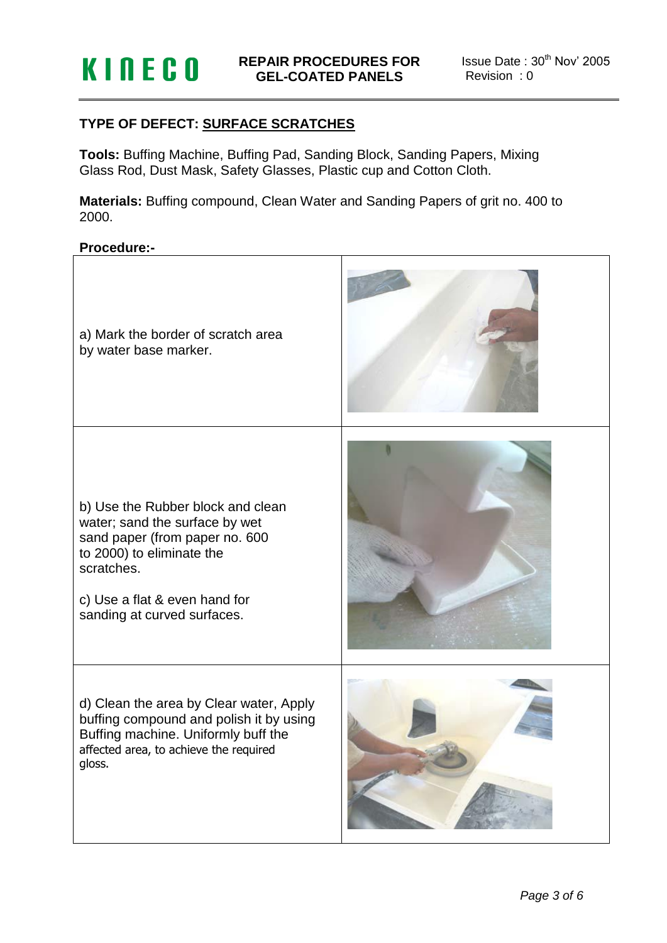#### **TYPE OF DEFECT: SURFACE SCRATCHES**

**Tools:** Buffing Machine, Buffing Pad, Sanding Block, Sanding Papers, Mixing Glass Rod, Dust Mask, Safety Glasses, Plastic cup and Cotton Cloth.

**Materials:** Buffing compound, Clean Water and Sanding Papers of grit no. 400 to 2000.

#### **Procedure:-**

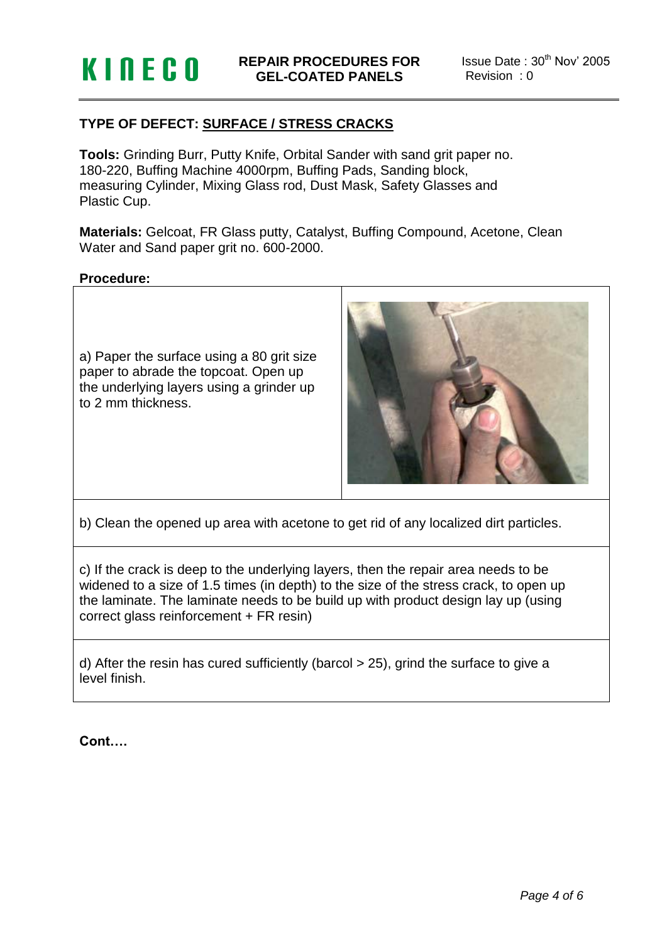## **KINECO**

Issue Date: 30<sup>th</sup> Nov' 2005 Revision : 0

#### **TYPE OF DEFECT: SURFACE / STRESS CRACKS**

**Tools:** Grinding Burr, Putty Knife, Orbital Sander with sand grit paper no. 180-220, Buffing Machine 4000rpm, Buffing Pads, Sanding block, measuring Cylinder, Mixing Glass rod, Dust Mask, Safety Glasses and Plastic Cup.

**Materials:** Gelcoat, FR Glass putty, Catalyst, Buffing Compound, Acetone, Clean Water and Sand paper grit no. 600-2000.

#### **Procedure:**

a) Paper the surface using a 80 grit size paper to abrade the topcoat. Open up the underlying layers using a grinder up to 2 mm thickness.



b) Clean the opened up area with acetone to get rid of any localized dirt particles.

c) If the crack is deep to the underlying layers, then the repair area needs to be widened to a size of 1.5 times (in depth) to the size of the stress crack, to open up the laminate. The laminate needs to be build up with product design lay up (using correct glass reinforcement + FR resin)

d) After the resin has cured sufficiently (barcol > 25), grind the surface to give a level finish.

**Cont….**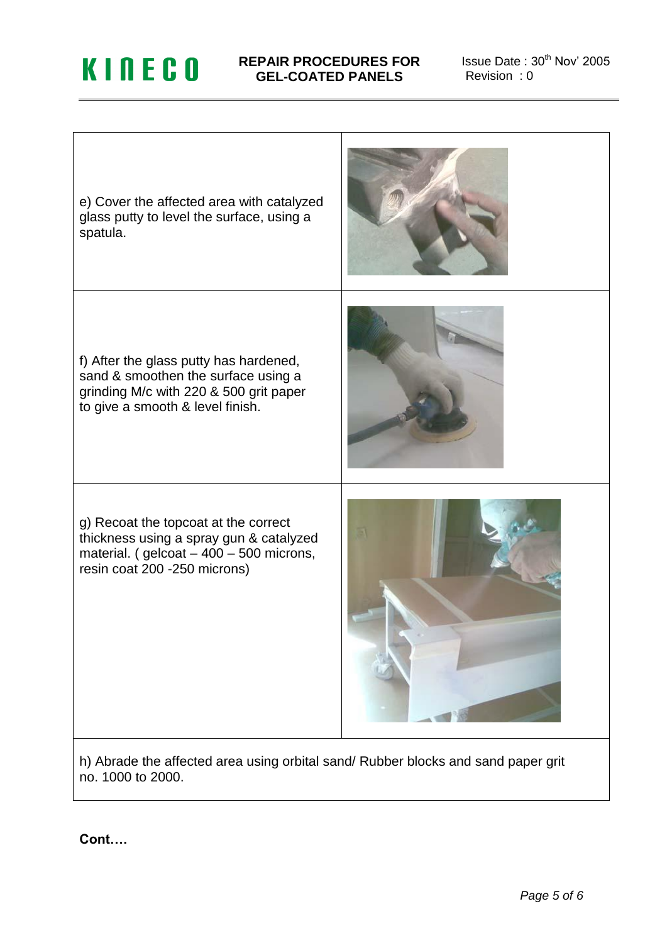## **KINECO**

#### **REPAIR PROCEDURES FOR GEL-COATED PANELS**

Issue Date:  $30<sup>th</sup>$  Nov' 2005 Revision : 0



**Cont….**